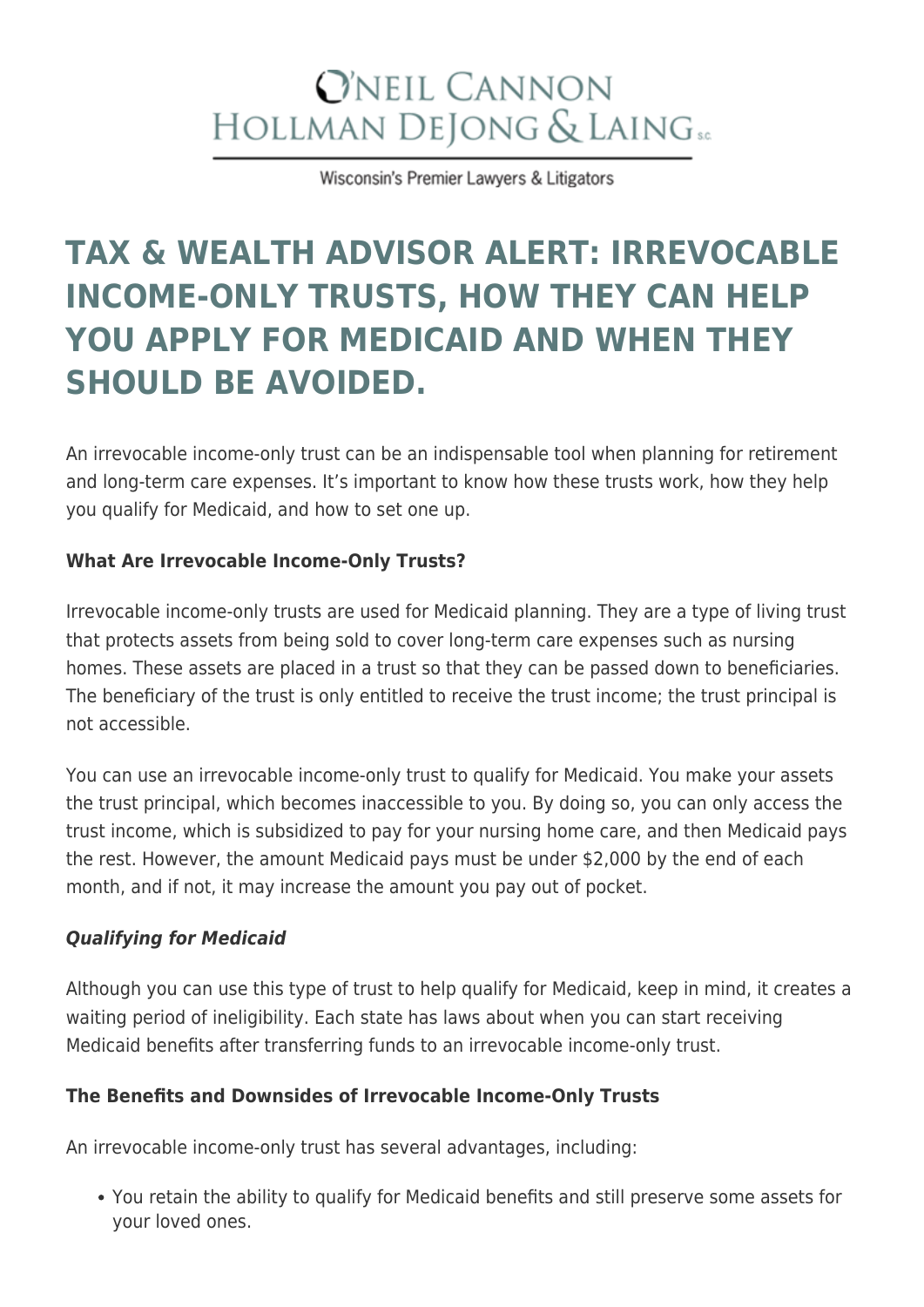# **O'NEIL CANNON** HOLLMAN DEJONG & LAING SC

Wisconsin's Premier Lawyers & Litigators

# **[TAX & WEALTH ADVISOR ALERT: IRREVOCABLE](https://www.wilaw.com/tax-wealth-advisor-alert-irrevocable-income-only-trusts-how-they-can-help-you-apply-for-medicaid-and-when-they-should-be-avoided/) [INCOME-ONLY TRUSTS, HOW THEY CAN HELP](https://www.wilaw.com/tax-wealth-advisor-alert-irrevocable-income-only-trusts-how-they-can-help-you-apply-for-medicaid-and-when-they-should-be-avoided/) [YOU APPLY FOR MEDICAID AND WHEN THEY](https://www.wilaw.com/tax-wealth-advisor-alert-irrevocable-income-only-trusts-how-they-can-help-you-apply-for-medicaid-and-when-they-should-be-avoided/) [SHOULD BE AVOIDED.](https://www.wilaw.com/tax-wealth-advisor-alert-irrevocable-income-only-trusts-how-they-can-help-you-apply-for-medicaid-and-when-they-should-be-avoided/)**

An irrevocable income-only trust can be an indispensable tool when planning for retirement and long-term care expenses. It's important to know how these trusts work, how they help you qualify for Medicaid, and how to set one up.

### **What Are Irrevocable Income-Only Trusts?**

Irrevocable income-only trusts are used for Medicaid planning. They are a type of living trust that protects assets from being sold to cover long-term care expenses such as nursing homes. These assets are placed in a trust so that they can be passed down to beneficiaries. The beneficiary of the trust is only entitled to receive the trust income; the trust principal is not accessible.

You can use an irrevocable income-only trust to qualify for Medicaid. You make your assets the trust principal, which becomes inaccessible to you. By doing so, you can only access the trust income, which is subsidized to pay for your nursing home care, and then Medicaid pays the rest. However, the amount Medicaid pays must be under \$2,000 by the end of each month, and if not, it may increase the amount you pay out of pocket.

#### *Qualifying for Medicaid*

Although you can use this type of trust to help qualify for Medicaid, keep in mind, it creates a waiting period of ineligibility. Each state has laws about when you can start receiving Medicaid benefits after transferring funds to an irrevocable income-only trust.

### **The Benefits and Downsides of Irrevocable Income-Only Trusts**

An irrevocable income-only trust has several advantages, including:

You retain the ability to qualify for Medicaid benefits and still preserve some assets for your loved ones.